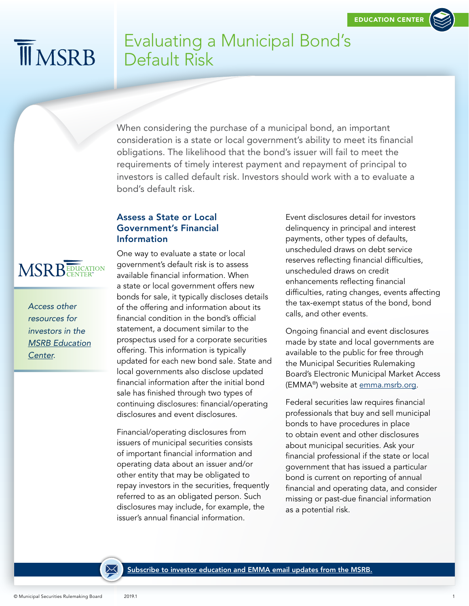# **MIMSRB**

## Evaluating a Municipal Bond's Default Risk

When considering the purchase of a municipal bond, an important consideration is a state or local government's ability to meet its financial obligations. The likelihood that the bond's issuer will fail to meet the requirements of timely interest payment and repayment of principal to investors is called default risk. Investors should work with a to evaluate a bond's default risk.

### Assess a State or Local Government's Financial Information



*[Access other](http://www.msrb.org/EducationCenter.aspx)  [resources for](http://www.msrb.org/EducationCenter.aspx)  [investors in the](http://www.msrb.org/EducationCenter.aspx)  [MSRB Education](http://www.msrb.org/EducationCenter.aspx) [Center.](http://www.msrb.org/EducationCenter.aspx)* 

One way to evaluate a state or local government's default risk is to assess available financial information. When a state or local government offers new bonds for sale, it typically discloses details of the offering and information about its financial condition in the bond's official statement, a document similar to the prospectus used for a corporate securities offering. This information is typically updated for each new bond sale. State and local governments also disclose updated financial information after the initial bond sale has finished through two types of continuing disclosures: financial/operating disclosures and event disclosures.

Financial/operating disclosures from issuers of municipal securities consists of important financial information and operating data about an issuer and/or other entity that may be obligated to repay investors in the securities, frequently referred to as an obligated person. Such disclosures may include, for example, the issuer's annual financial information.

Event disclosures detail for investors delinquency in principal and interest payments, other types of defaults, unscheduled draws on debt service reserves reflecting financial difficulties, unscheduled draws on credit enhancements reflecting financial difficulties, rating changes, events affecting the tax-exempt status of the bond, bond calls, and other events.

Ongoing financial and event disclosures made by state and local governments are available to the public for free through the Municipal Securities Rulemaking Board's Electronic Municipal Market Access (EMMA®) website at [emma.msrb.org.](http://emma.msrb.org)

Federal securities law requires financial professionals that buy and sell municipal bonds to have procedures in place to obtain event and other disclosures about municipal securities. Ask your financial professional if the state or local government that has issued a particular bond is current on reporting of annual financial and operating data, and consider missing or past-due financial information as a potential risk.

[Subscribe to investor education and EMMA email updates from the MSRB.](https://public.govdelivery.com/accounts/VAORGMSRB/subscriber/new)